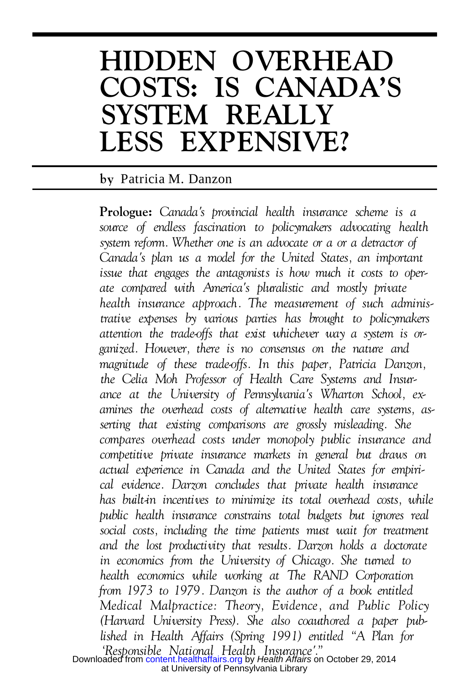# **HIDDEN OVERHEAD COSTS: IS CANADA'S SYSTEM REALLY LESS EXPENSIVE? LESS EAPE**<br>by Patricia M. Danzon

**Prologue:** *Canada's provincial health insurance scheme is a source of endless fascination to policymakers advocating health system reform. Whether one is an advocate or a or a detractor of Canada's plan us a model for the United States, an important issue that engages the antagonists is how much it costs to operate compared with America's pluralistic and mostly private health insurance approach. The measurement of such administrative expenses by various parties has brought to policymakers* attention the trade-offs that exist whichever way a system is or*ganized. However, there is no consensus on the nature and magnitude of these trade-offs. In this paper, Patricia Danzon, the Celia Moh Professor of Health Care Systems and Insurance at the University of Pennsylvania's Wharton School, examines the overhead costs of alternative health care systems, asserting that existing comparisons are grossly misleading. She compares overhead costs under monopoly public insurance and competitive private insurance markets in general but draws on actual experience in Canada and the United States for empirical evidence. Darzon concludes that private health insurance has built-in incentives to minimize its total overhead costs, while public health insurance constrains total budgets but ignores real social costs, including the time patients must wait for treatment and the lost productivity that results. Darzon holds a doctorate in economics from the University of Chicago. She turned to health economics while working at The RAND Corporation from 1973 to 1979. Danzon is the author of a book entitled Medical Malpractice: Theory, Evidence, and Public Policy (Harvard University Press). She also coauthored a paper published in Health Affairs (Spring 1991) entitled "A Plan for 'Responsible National Health Insurance'."*

at University of Pennsylvania Library Downloaded from [content.healthaffairs.org](http://content.healthaffairs.org/) by Health Affairs on October 29, 2014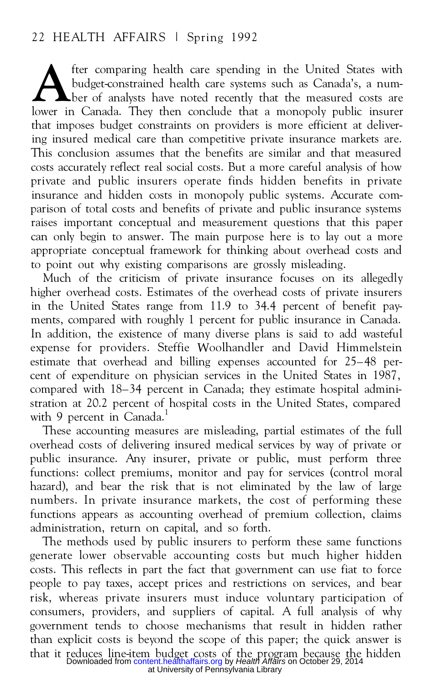**A** fter comparing health care spending in the United States with budget-constrained health care systems such as Canada's, a num-<br>ber of analysts have noted recently that the measured costs are lower in Canada. They then c fter comparing health care spending in the United States with<br>budget-constrained health care systems such as Canada's, a numlower in Canada. They then conclude that a monopoly public insurer that imposes budget constraints on providers is more efficient at delivering insured medical care than competitive private insurance markets are. This conclusion assumes that the benefits are similar and that measured costs accurately reflect real social costs. But a more careful analysis of how private and public insurers operate finds hidden benefits in private insurance and hidden costs in monopoly public systems. Accurate com parison of total costs and benefits of private and public insurance systems raises important conceptual and measurement questions that this paper can only begin to answer. The main purpose here is to lay out a more appropriate conceptual framework for thinking about overhead costs and to point out why existing comparisons are grossly misleading.

Much of the criticism of private insurance focuses on its allegedly higher overhead costs. Estimates of the overhead costs of private insurers in the United States range from 11.9 to 34.4 percent of benefit pay ments, compared with roughly 1 percent for public insurance in Canada. In addition, the existence of many diverse plans is said to add wasteful expense for providers. Steffie Woolhandler and David Himmelstein estimate that overhead and billing expenses accounted for 25–48 per cent of expenditure on physician services in the United States in 1987, compared with 18–34 percent in Canada; they estimate hospital administration at 20.2 percent of hospital costs in the United States, compared with 9 percent in Canada.<sup>1</sup>

These accounting measures are misleading, partial estimates of the full overhead costs of delivering insured medical services by way of private or public insurance. Any insurer, private or public, must perform three functions: collect premiums, monitor and pay for services (control moral hazard), and bear the risk that is not eliminated by the law of large numbers. In private insurance markets, the cost of performing these functions appears as accounting overhead of premium collection, claims administration, return on capital, and so forth.

The methods used by public insurers to perform these same functions generate lower observable accounting costs but much higher hidden costs. This reflects in part the fact that government can use fiat to force people to pay taxes, accept prices and restrictions on services, and bear risk, whereas private insurers must induce voluntary participation of consumers, providers, and suppliers of capital. A full analysis of why government tends to choose mechanisms that result in hidden rather than explicit costs is beyond the scope of this paper; the quick answer is that it reduces line-item budget costs of the program because the hidden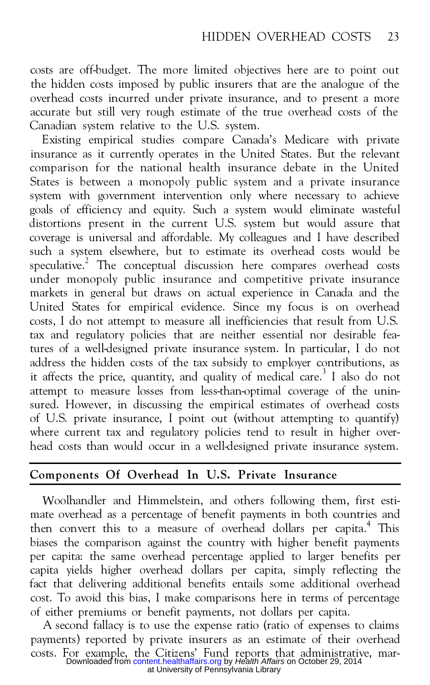costs are off-budget. The more limited objectives here are to point out the hidden costs imposed by public insurers that are the analogue of the overhead costs incurred under private insurance, and to present a more accurate but still very rough estimate of the true overhead costs of the Canadian system relative to the U.S. system.

Existing empirical studies compare Canada's Medicare with private insurance as it currently operates in the United States. But the relevant comparison for the national health insurance debate in the United States is between a monopoly public system and a private insurance system with government intervention only where necessary to achieve goals of efficiency and equity. Such a system would eliminate wasteful distortions present in the current U.S. system but would assure that coverage is universal and affordable. My colleagues and I have described such a system elsewhere, but to estimate its overhead costs would be speculative.<sup>2</sup> The conceptual discussion here compares overhead costs under monopoly public insurance and competitive private insurance markets in general but draws on actual experience in Canada and the United States for empirical evidence. Since my focus is on overhead costs, I do not attempt to measure all inefficiencies that result from U.S. tax and regulatory policies that are neither essential nor desirable features of a well-designed private insurance system. In particular, I do not address the hidden costs of the tax subsidy to employer contributions, as it affects the price, quantity, and quality of medical care.<sup>3</sup> I also do not attempt to measure losses from less-than-optimal coverage of the uninsured. However, in discussing the empirical estimates of overhead costs of U.S. private insurance, I point out (without attempting to quantify) where current tax and regulatory policies tend to result in higher overhead costs than would occur in a well-designed private insurance system.

### **Components Of Overhead In U.S. Private Insurance**

Woolhandler and Himmelstein, and others following them, first esti mate overhead as a percentage of benefit payments in both countries and then convert this to a measure of overhead dollars per capita.<sup>4</sup> This biases the comparison against the country with higher benefit payments per capita: the same overhead percentage applied to larger benefits per capita yields higher overhead dollars per capita, simply reflecting the fact that delivering additional benefits entails some additional overhead cost. To avoid this bias, I make comparisons here in terms of percentage of either premiums or benefit payments, not dollars per capita.

A second fallacy is to use the expense ratio (ratio of expenses to claims payments) reported by private insurers as an estimate of their overhead costs. For example, the Citizens' Fund reports that administrative, mar-Downloaded from [content.healthaffairs.org](http://content.healthaffairs.org/) by Health Affairs on October 29, 2014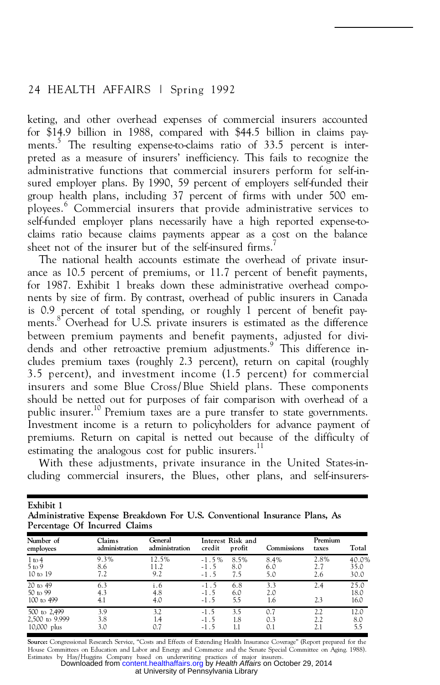keting, and other overhead expenses of commercial insurers accounted for \$14.9 billion in 1988, compared with \$44.5 billion in claims pay ments.<sup>5</sup> The resulting expense-to-claims ratio of 33.5 percent is interpreted as a measure of insurers' inefficiency. This fails to recognize the administrative functions that commercial insurers perform for self-insured employer plans. By 1990, 59 percent of employers self-funded their group health plans, including 37 percent of firms with under 500 em ployees.<sup>6</sup> Commercial insurers that provide administrative services to self-funded employer plans necessarily have a high reported expense-toclaims ratio because claims payments appear as a cost on the balance sheet not of the insurer but of the self-insured firms.<sup>7</sup>

The national health accounts estimate the overhead of private insur ance as 10.5 percent of premiums, or 11.7 percent of benefit payments, for 1987. Exhibit 1 breaks down these administrative overhead compo nents by size of firm. By contrast, overhead of public insurers in Canada is 0.9 percent of total spending, or roughly 1 percent of benefit pay ments.<sup>8</sup> Overhead for U.S. private insurers is estimated as the difference between premium payments and benefit payments, adjusted for divi dends and other retroactive premium adjustments.<sup>9</sup> This difference includes premium taxes (roughly 2.3 percent), return on capital (roughly<br>3.5 percent), and investment income (1.5 percent) for commercial<br>insurers and some Blue Cross/Blue Shield plans. These components<br>should be natted out 3.5 percent), and investment income (1.5 percent) for commercial should be netted out for purposes of fair comparison with overhead of a public insurer.<sup>10</sup> Premium taxes are a pure transfer to state governments. Investment income is a return to policyholders for advance payment of premiums. Return on capital is netted out because of the difficulty of estimating the analogous cost for public insurers.<sup>11</sup>

With these adjustments, private insurance in the United States-in cluding commercial insurers, the Blues, other plans, and self-insurers-

| Exhibit 1                                                                  |  |  |  |  |
|----------------------------------------------------------------------------|--|--|--|--|
| Administrative Expense Breakdown For U.S. Conventional Insurance Plans, As |  |  |  |  |
| Percentage Of Incurred Claims                                              |  |  |  |  |

| I electriage Of Incurred Claims                               |                          |                           |                              |                             |                    |                    |                       |
|---------------------------------------------------------------|--------------------------|---------------------------|------------------------------|-----------------------------|--------------------|--------------------|-----------------------|
| Number of<br>employees                                        | Claims<br>administration | General<br>administration | credit                       | Interest Risk and<br>profit | Commissions        | Premium<br>taxes   | Total                 |
| $1 \text{ to } 4$<br>$5 \text{ to } 9$<br>$10 \text{ to } 19$ | 9.3%<br>8.6<br>7.2       | 12.5%<br>11.2<br>9.2      | $-1.5\%$<br>$-1.5$<br>$-1.5$ | 8.5%<br>8.0<br>7.5          | 8.4%<br>6.0<br>5.0 | 2.8%<br>2.7<br>2.6 | 40.0%<br>35.0<br>30.0 |
| 20 to 49<br>50 to 99<br>$100$ to $499$                        | 6.3<br>4.3<br>4.1        | i.6<br>4.8<br>4.0         | $-1.5$<br>$-1.5$<br>$-1.5$   | 6.8<br>6.0<br>5.5           | 3.3<br>2.0<br>1.6  | 2.4<br>2.3         | 25.0<br>18.0<br>16.0  |
| 500 to 2,499<br>2,500 to 9.999<br>10,000 plus                 | 3.9<br>3.8<br>3.0        | 3.2<br>1.4<br>0.7         | $-1.5$<br>$-1.5$<br>$-1.5$   | 3.5<br>1.8<br>1.1           | 0.7<br>0.3<br>0.1  | 2.2<br>2.2<br>2.1  | 12.0<br>8.0<br>5.5    |

**Source:** Congressional Research Service, "Costs and Effects of Extending Health Insurance Coverage" (Report prepared for the House Committees on Education and Labor and Energy and Commerce and the Senate Special Committee on Aging. 1988). Source: Congressional Research Service, "Costs and Effects of Extending Health Insurance Coverage" (Report pre<br>House Committees on Education and Labor and Energy and Commerce and the Senate Special Committee on .<br>Estimates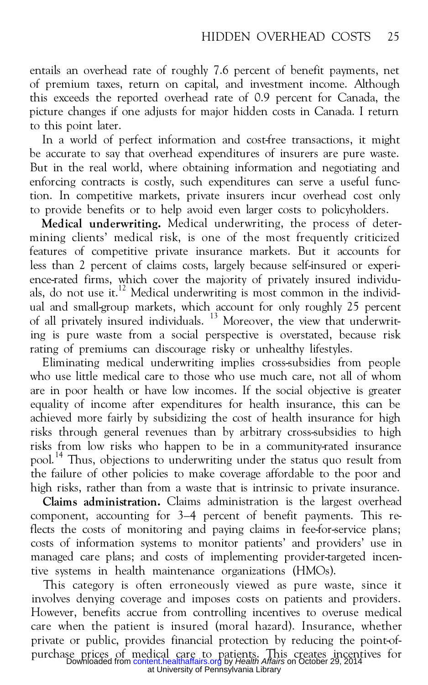entails an overhead rate of roughly 7.6 percent of benefit payments, net of premium taxes, return on capital, and investment income. Although this exceeds the reported overhead rate of 0.9 percent for Canada, the picture changes if one adjusts for major hidden costs in Canada. I return to this point later.

In a world of perfect information and cost-free transactions, it might be accurate to say that overhead expenditures of insurers are pure waste. But in the real world, where obtaining information and negotiating and enforcing contracts is costly, such expenditures can serve a useful function. In competitive markets, private insurers incur overhead cost only to provide benefits or to help avoid even larger costs to policyholders.

**Medical underwriting.** Medical underwriting, the process of deter mining clients' medical risk, is one of the most frequently criticized features of competitive private insurance markets. But it accounts for less than 2 percent of claims costs, largely because self-insured or experi ence-rated firms, which cover the majority of privately insured individu als, do not use it.<sup>12</sup> Medical underwriting is most common in the individual and small-group markets, which account for only roughly 25 percent of all privately insured individuals.<sup>13</sup> Moreover, the view that underwriting is pure waste from a social perspective is overstated, because risk rating of premiums can discourage risky or unhealthy lifestyles.

Eliminating medical underwriting implies cross-subsidies from people who use little medical care to those who use much care, not all of whom are in poor health or have low incomes. If the social objective is greater equality of income after expenditures for health insurance, this can be achieved more fairly by subsidizing the cost of health insurance for high risks through general revenues than by arbitrary cross-subsidies to high risks from low risks who happen to be in a community-rated insurance pool.<sup>14</sup> Thus, objections to underwriting under the status quo result from the failure of other policies to make coverage affordable to the poor and high risks, rather than from a waste that is intrinsic to private insurance.

**Claims administration.** Claims administration is the largest overhead component, accounting for 3–4 percent of benefit payments. This reflects the costs of monitoring and paying claims in fee-for-service plans; costs of information systems to monitor patients' and providers' use in managed care plans; and costs of implementing provider-targeted incentive systems in health maintenance organizations (HMOs).

This category is often erroneously viewed as pure waste, since it involves denying coverage and imposes costs on patients and providers. However, benefits accrue from controlling incentives to overuse medical care when the patient is insured (moral hazard). Insurance, whether private or public, provides financial protection by reducing the point-of purchase prices of medical care to patients. This creates incentives for Downloaded from [content.healthaffairs.org](http://content.healthaffairs.org/) by Health Affairs on October 29, 2014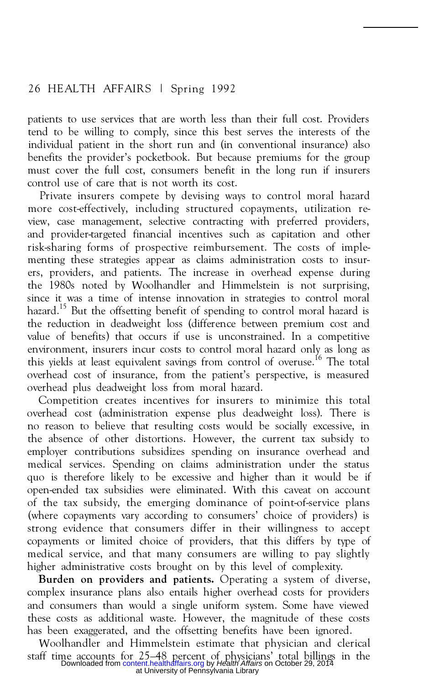patients to use services that are worth less than their full cost. Providers tend to be willing to comply, since this best serves the interests of the individual patient in the short run and (in conventional insurance) also benefits the provider's pocketbook. But because premiums for the group must cover the full cost, consumers benefit in the long run if insurers control use of care that is not worth its cost.

Private insurers compete by devising ways to control moral hazard more cost-effectively, including structured copayments, utilization re view, case management, selective contracting with preferred providers, and provider-targeted financial incentives such as capitation and other risk-sharing forms of prospective reimbursement. The costs of imple menting these strategies appear as claims administration costs to insur ers, providers, and patients. The increase in overhead expense during the 1980s noted by Woolhandler and Himmelstein is not surprising, since it was a time of intense innovation in strategies to control moral hazard.<sup>15</sup> But the offsetting benefit of spending to control moral hazard is the reduction in deadweight loss (difference between premium cost and value of benefits) that occurs if use is unconstrained. In a competitive environment, insurers incur costs to control moral hazard only as long as this yields at least equivalent savings from control of overuse.<sup>16</sup> The total overhead cost of insurance, from the patient's perspective, is measured overhead plus deadweight loss from moral hazard.

Competition creates incentives for insurers to minimize this total overhead cost (administration expense plus deadweight loss). There is no reason to believe that resulting costs would be socially excessive, in the absence of other distortions. However, the current tax subsidy to employer contributions subsidizes spending on insurance overhead and medical services. Spending on claims administration under the status quo is therefore likely to be excessive and higher than it would be if open-ended tax subsidies were eliminated. With this caveat on account of the tax subsidy, the emerging dominance of point-of-service plans (where copayments vary according to consumers' choice of providers) is strong evidence that consumers differ in their willingness to accept copayments or limited choice of providers, that this differs by type of medical service, and that many consumers are willing to pay slightly higher administrative costs brought on by this level of complexity.

**Burden on providers and patients.** Operating a system of diverse, complex insurance plans also entails higher overhead costs for providers and consumers than would a single uniform system. Some have viewed these costs as additional waste. However, the magnitude of these costs has been exaggerated, and the offsetting benefits have been ignored.

Woolhandler and Himmelstein estimate that physician and clerical staff time accounts for 25–48 percent of physicians' total billings in the at University of Pennsylvania Library Downloaded from [content.healthaffairs.org](http://content.healthaffairs.org/) by Health Affairs on October 29, 2014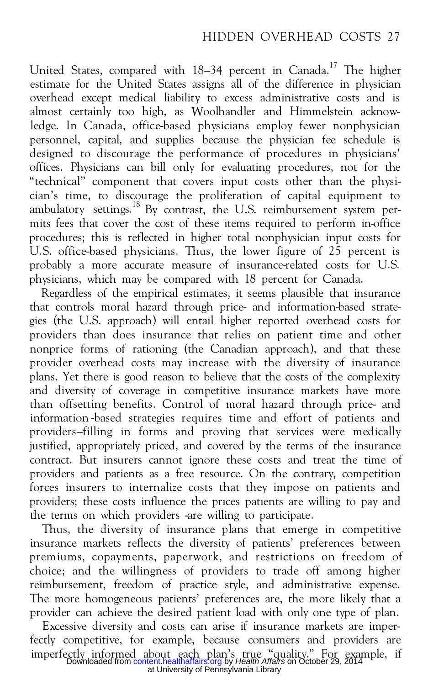United States, compared with 18–34 percent in Canada.<sup>17</sup> The higher estimate for the United States assigns all of the difference in physician overhead except medical liability to excess administrative costs and is almost certainly too high, as Woolhandler and Himmelstein acknowledge. In Canada, office-based physicians employ fewer nonphysician personnel, capital, and supplies because the physician fee schedule designed to discourage the performance of procedures in physicians' offices. Physicians can bill only for evaluating procedures, not for the "technical" component that covers input costs other than the physi cian's time, to discourage the proliferation of capital equipment to ambulatory settings.<sup>18</sup> By contrast, the U.S. reimbursement system permits fees that cover the cost of these items required to perform in-office procedures; this is reflected in higher total nonphysician input costs for U.S. office-based physicians. Thus, the lower figure of 25 percent is probably a more accurate measure of insurance-related costs for U.S. physicians, which may be compared with 18 percent for Canada.

Regardless of the empirical estimates, it seems plausible that insurance that controls moral hazard through price- and information-based strate gies (the U.S. approach) will entail higher reported overhead costs for providers than does insurance that relies on patient time and other nonprice forms of rationing (the Canadian approach), and that these provider overhead costs may increase with the diversity of insurance plans. Yet there is good reason to believe that the costs of the complexity and diversity of coverage in competitive insurance markets have more than offsetting benefits. Control of moral hazard through price- and information -based strategies requires time and effort of patients and providers–filling in forms and proving that services were medically justified, appropriately priced, and covered by the terms of the insurance contract. But insurers cannot ignore these costs and treat the time of providers and patients as a free resource. On the contrary, competition forces insurers to internalize costs that they impose on patients and providers; these costs influence the prices patients are willing to pay and the terms on which providers -are willing to participate.

Thus, the diversity of insurance plans that emerge in competitive insurance markets reflects the diversity of patients' preferences between premiums, copayments, paperwork, and restrictions on freedom of choice; and the willingness of providers to trade off among higher reimbursement, freedom of practice style, and administrative expense. The more homogeneous patients' preferences are, the more likely that a provider can achieve the desired patient load with only one type of plan.

Excessive diversity and costs can arise if insurance markets are imperfectly competitive, for example, because consumers and providers are imperfectly informed about each plan's true "quality." For example, if Downloaded from [content.healthaffairs.org](http://content.healthaffairs.org/) by Health Affairs on October 29, 2014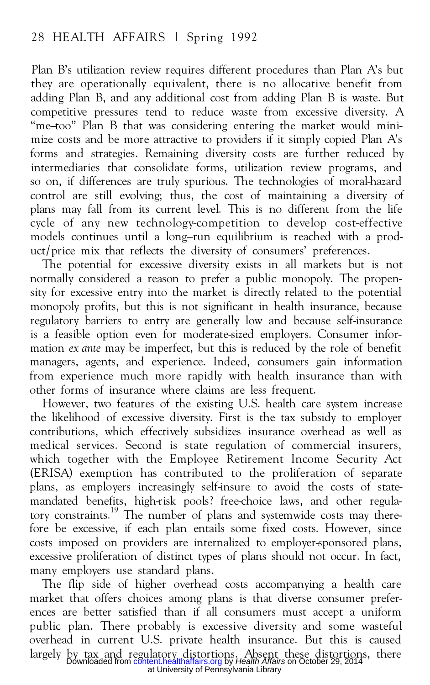Plan B's utilization review requires different procedures than Plan A's but they are operationally equivalent, there is no allocative benefit from adding Plan B, and any additional cost from adding Plan B is waste. But competitive pressures tend to reduce waste from excessive diversity. A "me-too" Plan B that was considering entering the market would minimize costs and be more attractive to providers if it simply copied Plan A's forms and strategies. Remaining diversity costs are further reduced by intermediaries that consolidate forms, utilization review programs, and so on, if differences are truly spurious. The technologies of moral-hazard control are still evolving; thus, the cost of maintaining a diversity of plans may fall from its current level. This is no different from the life cycle of any new technology-competition to develop cost-effective<br>models continues until a long–run equilibrium is reached with a prod-<br>uct/price mix that reflects the diversity of consumers' preferences.<br>The patential for

The potential for excessive diversity exists in all markets but is not normally considered a reason to prefer a public monopoly. The propensity for excessive entry into the market is directly related to the potential monopoly profits, but this is not significant in health insurance, because regulatory barriers to entry are generally low and because self-insurance is a feasible option even for moderate-sized employers. Consumer infor mation *ex ante* may be imperfect, but this is reduced by the role of benefit managers, agents, and experience. Indeed, consumers gain information from experience much more rapidly with health insurance than with other forms of insurance where claims are less frequent.

However, two features of the existing U.S. health care system increase the likelihood of excessive diversity. First is the tax subsidy to employer contributions, which effectively subsidizes insurance overhead as well as medical services. Second is state regulation of commercial insurers, which together with the Employee Retirement Income Security Act (ERISA) exemption has contributed to the proliferation of separate plans, as employers increasingly self-insure to avoid the costs of state mandated benefits, high-risk pools? free-choice laws, and other regulatory constraints.<sup>19</sup> The number of plans and systemwide costs may therefore be excessive, if each plan entails some fixed costs. However, since costs imposed on providers are internalized to employer-sponsored plans, excessive proliferation of distinct types of plans should not occur. In fact, many employers use standard plans.

The flip side of higher overhead costs accompanying a health care market that offers choices among plans is that diverse consumer prefer ences are better satisfied than if all consumers must accept a uniform public plan. There probably is excessive diversity and some wasteful overhead in current U.S. private health insurance. But this is caused largely by tax and regulatory distortions. Absent these distortions, there at University of Pennsylvania Library Downloaded from [content.healthaffairs.org](http://content.healthaffairs.org/) by Health Affairs on October 29, 2014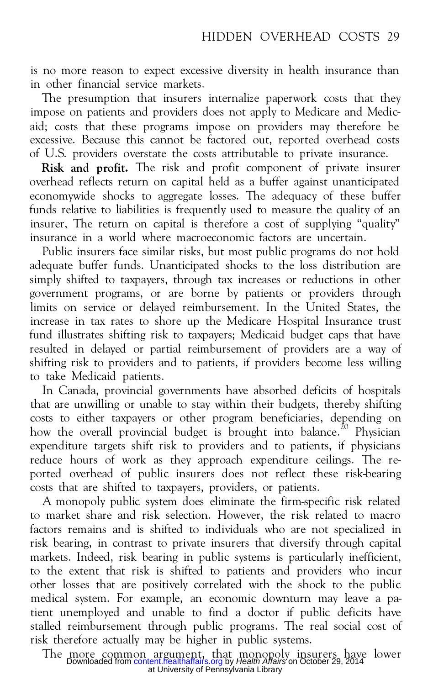is no more reason to expect excessive diversity in health insurance than in other financial service markets.

The presumption that insurers internalize paperwork costs that they impose on patients and providers does not apply to Medicare and Medicaid; costs that these programs impose on providers may therefore be excessive. Because this cannot be factored out, reported overhead costs of U.S. providers overstate the costs attributable to private insurance.

**Risk and profit.** The risk and profit component of private insurer overhead reflects return on capital held as a buffer against unanticipated economywide shocks to aggregate losses. The adequacy of these buffer funds relative to liabilities is frequently used to measure the quality of an insurer, The return on capital is therefore a cost of supplying "quality" insurance in a world where macroeconomic factors are uncertain.

Public insurers face similar risks, but most public programs do not hold adequate buffer funds. Unanticipated shocks to the loss distribution are simply shifted to taxpayers, through tax increases or reductions in other government programs, or are borne by patients or providers through limits on service or delayed reimbursement. In the United States, the increase in tax rates to shore up the Medicare Hospital Insurance trust fund illustrates shifting risk to taxpayers; Medicaid budget caps that have resulted in delayed or partial reimbursement of providers are a way of shifting risk to providers and to patients, if providers become less willing to take Medicaid patients.

In Canada, provincial governments have absorbed deficits of hospitals that are unwilling or unable to stay within their budgets, thereby shifting costs to either taxpayers or other program beneficiaries, depending on how the overall provincial budget is brought into balance.<sup>20</sup> Physician expenditure targets shift risk to providers and to patients, if physicians reduce hours of work as they approach expenditure ceilings. The re ported overhead of public insurers does not reflect these risk-bearing costs that are shifted to taxpayers, providers, or patients.

A monopoly public system does eliminate the firm-specific risk related to market share and risk selection. However, the risk related to macro factors remains and is shifted to individuals who are not specialized in risk bearing, in contrast to private insurers that diversify through capital markets. Indeed, risk bearing in public systems is particularly inefficient, to the extent that risk is shifted to patients and providers who incur other losses that are positively correlated with the shock to the public medical system. For example, an economic downturn may leave a patient unemployed and unable to find a doctor if public deficits have stalled reimbursement through public programs. The real social cost of risk therefore actually may be higher in public systems.

The more common argument, that monopoly insurers have lower at University of Pennsylvania Library Downloaded from [content.healthaffairs.org](http://content.healthaffairs.org/) by Health Affairs on October 29, 2014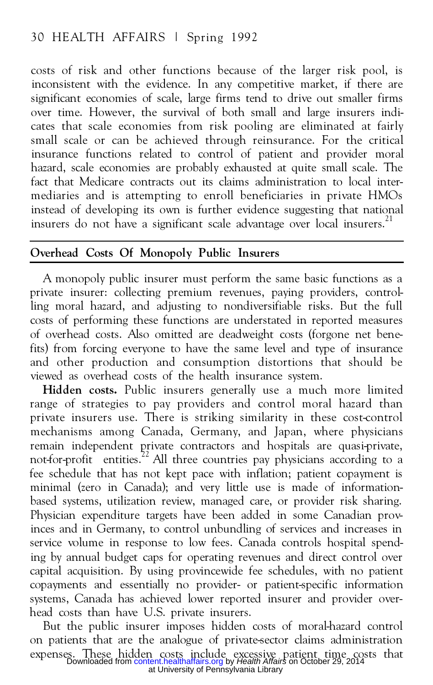costs of risk and other functions because of the larger risk pool, is inconsistent with the evidence. In any competitive market, if there are significant economies of scale, large firms tend to drive out smaller firms over time. However, the survival of both small and large insurers indi cates that scale economies from risk pooling are eliminated at fairly small scale or can be achieved through reinsurance. For the critical insurance functions related to control of patient and provider moral hazard, scale economies are probably exhausted at quite small scale. The fact that Medicare contracts out its claims administration to local inter mediaries and is attempting to enroll beneficiaries in private HMOs instead of developing its own is further evidence suggesting that national insurers do not have a significant scale advantage over local insurers.<sup>21</sup>

#### **Overhead Costs Of Monopoly Public Insurers**

A monopoly public insurer must perform the same basic functions as a private insurer: collecting premium revenues, paying providers, controlling moral hazard, and adjusting to nondiversifiable risks. But the full costs of performing these functions are understated in reported measures of overhead costs. Also omitted are deadweight costs (forgone net benefits) from forcing everyone to have the same level and type of insurance and other production and consumption distortions that should be viewed as overhead costs of the health insurance system.

**Hidden costs.** Public insurers generally use a much more limited range of strategies to pay providers and control moral hazard than private insurers use. There is striking similarity in these cost-control mechanisms among Canada, Germany, and Japan, where physicians remain independent private contractors and hospitals are quasi-private, not-for-profit entities.<sup>22</sup> All three countries pay physicians according to a fee schedule that has not kept pace with inflation; patient copayment is minimal (zero in Canada); and very little use is made of information based systems, utilization review, managed care, or provider risk sharing. Physician expenditure targets have been added in some Canadian provinces and in Germany, to control unbundling of services and increases in service volume in response to low fees. Canada controls hospital spending by annual budget caps for operating revenues and direct control over capital acquisition. By using provincewide fee schedules, with no patient copayments and essentially no provider- or patient-specific information systems, Canada has achieved lower reported insurer and provider over head costs than have U.S. private insurers.

But the public insurer imposes hidden costs of moral-hazard control on patients that are the analogue of private-sector claims administration expenses. These hidden costs include excessive patient time costs that Downloaded from [content.healthaffairs.org](http://content.healthaffairs.org/) by Health Affairs on October 29, 2014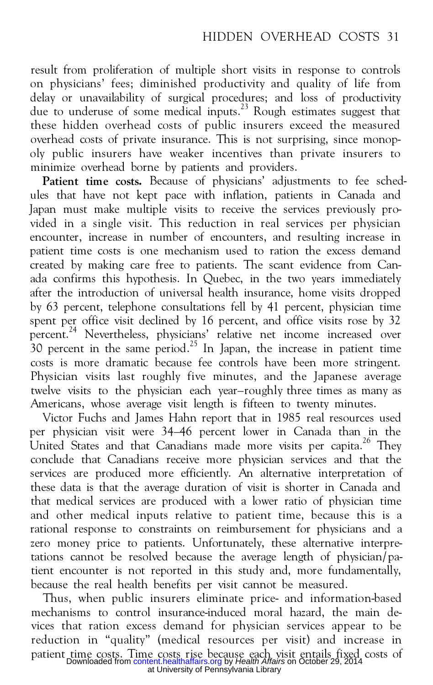result from proliferation of multiple short visits in response to controls on physicians' fees; diminished productivity and quality of life from delay or unavailability of surgical procedures; and loss of productivity due to underuse of some medical inputs.<sup>23</sup> Rough estimates suggest that these hidden overhead costs of public insurers exceed the measured overhead costs of private insurance. This is not surprising, since monop oly public insurers have weaker incentives than private insurers to minimize overhead borne by patients and providers.

Patient time costs. Because of physicians' adjustments to fee schedules that have not kept pace with inflation, patients in Canada and Japan must make multiple visits to receive the services previously pro vided in a single visit. This reduction in real services per physician encounter, increase in number of encounters, and resulting increase in patient time costs is one mechanism used to ration the excess demand created by making care free to patients. The scant evidence from Can ada confirms this hypothesis. In Quebec, in the two years immediately after the introduction of universal health insurance, home visits dropped by 63 percent, telephone consultations fell by 41 percent, physician time spent per office visit declined by 16 percent, and office visits rose by 32 percent.<sup>24</sup> Nevertheless, physicians' relative net income increased over  $\overline{30}$  percent in the same period.<sup>25</sup> In Japan, the increase in patient time costs is more dramatic because fee controls have been more stringent. Physician visits last roughly five minutes, and the Japanese average the costs is more dramatic because fee controls have been more stringent.<br>Physician visits last roughly five minutes, and the Japanese average<br>twelve visits to the physician each year-roughly three times as many as<br>America Americans, whose average visit length is fifteen to twenty minutes.

Victor Fuchs and James Hahn report that in 1985 real resources used per physician visit were 34–46 percent lower in Canada than in the United States and that Canadians made more visits per capita.<sup>26</sup> They conclude that Canadians receive more physician services and that the services are produced more efficiently. An alternative interpretation of these data is that the average duration of visit is shorter in Canada and that medical services are produced with a lower ratio of physician time and other medical inputs relative to patient time, because this is a rational response to constraints on reimbursement for physicians and a zero money price to patients. Unfortunately, these alternative interprerational response to constraints on reimbursement for physicians and a<br>zero money price to patients. Unfortunately, these alternative interpre-<br>tations cannot be resolved because the average length of physician/ patient encounter is not reported in this study and, more fundamentally, because the real health benefits per visit cannot be measured.

Thus, when public insurers eliminate price- and information-based mechanisms to control insurance-induced moral hazard, the main de vices that ration excess demand for physician services appear to be reduction in "quality" (medical resources per visit) and increase in patient time costs. Time costs rise because each visit entails fixed costs of at University of Pennsylvania Library Downloaded from [content.healthaffairs.org](http://content.healthaffairs.org/) by Health Affairs on October 29, 2014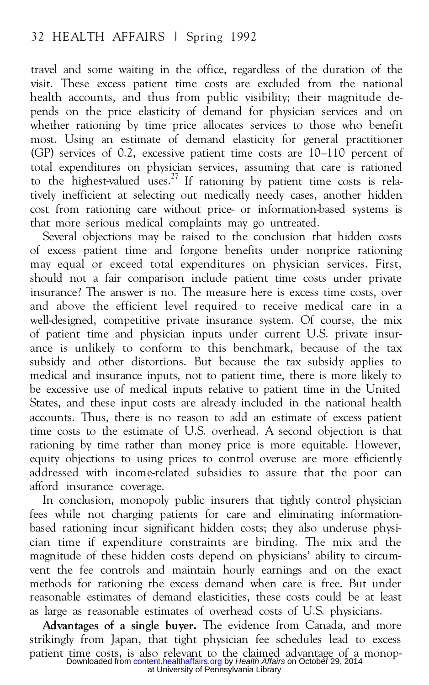travel and some waiting in the office, regardless of the duration of the visit. These excess patient time costs are excluded from the national health accounts, and thus from public visibility; their magnitude de pends on the price elasticity of demand for physician services and on whether rationing by time price allocates services to those who benefit most. Using an estimate of demand elasticity for general practitioner (GP) services of 0.2, excessive patient time costs are 10–110 percent of total expenditures on physician services, assuming that care is rationed to the highest-valued uses.<sup>27</sup> If rationing by patient time costs is relatively inefficient at selecting out medically needy cases, another hidden cost from rationing care without price- or information-based systems is that more serious medical complaints may go untreated.

Several objections may be raised to the conclusion that hidden costs of excess patient time and forgone benefits under nonprice rationing may equal or exceed total expenditures on physician services. First, should not a fair comparison include patient time costs under private insurance? The answer is no. The measure here is excess time costs, over and above the efficient level required to receive medical care in a well-designed, competitive private insurance system. Of course, the mix of patient time and physician inputs under current U.S. private insur ance is unlikely to conform to this benchmark, because of the tax subsidy and other distortions. But because the tax subsidy applies to medical and insurance inputs, not to patient time, there is more likely to be excessive use of medical inputs relative to patient time in the United States, and these input costs are already included in the national health accounts. Thus, there is no reason to add an estimate of excess patient time costs to the estimate of U.S. overhead. A second objection is that rationing by time rather than money price is more equitable. However, equity objections to using prices to control overuse are more efficiently addressed with income-related subsidies to assure that the poor can afford insurance coverage.

In conclusion, monopoly public insurers that tightly control physician fees while not charging patients for care and eliminating information based rationing incur significant hidden costs; they also underuse physi cian time if expenditure constraints are binding. The mix and the magnitude of these hidden costs depend on physicians' ability to circum vent the fee controls and maintain hourly earnings and on the exact methods for rationing the excess demand when care is free. But under reasonable estimates of demand elasticities, these costs could be at least as large as reasonable estimates of overhead costs of U.S. physicians.

**Advantages of a single buyer.** The evidence from Canada, and more strikingly from Japan, that tight physician fee schedules lead to excess patient time costs, is also relevant to the claimed advantage of a monop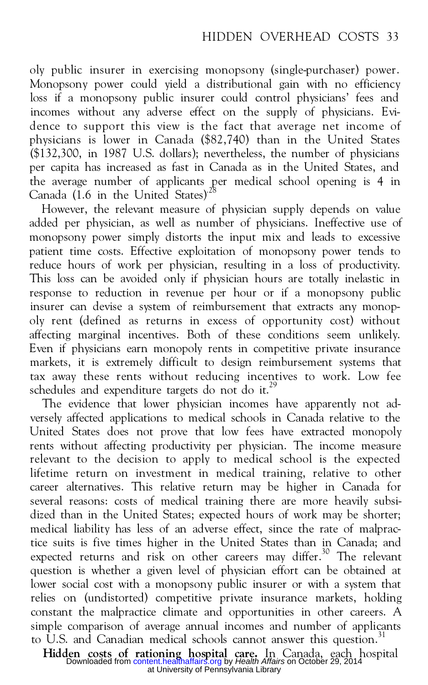oly public insurer in exercising monopsony (single-purchaser) power. Monopsony power could yield a distributional gain with no efficiency loss if a monopsony public insurer could control physicians' fees and incomes without any adverse effect on the supply of physicians. Evi dence to support this view is the fact that average net income of physicians is lower in Canada (\$82,740) than in the United States (\$132,300, in 1987 U.S. dollars); nevertheless, the number of physicians per capita has increased as fast in Canada as in the United States, and the average number of applicants per medical school opening is 4 in Canada (1.6 in the United States)<sup> $28$ </sup>

However, the relevant measure of physician supply depends on value added per physician, as well as number of physicians. Ineffective use of monopsony power simply distorts the input mix and leads to excessive patient time costs. Effective exploitation of monopsony power tends to reduce hours of work per physician, resulting in a loss of productivity. This loss can be avoided only if physician hours are totally inelastic in response to reduction in revenue per hour or if a monopsony public insurer can devise a system of reimbursement that extracts any monop oly rent (defined as returns in excess of opportunity cost) without affecting marginal incentives. Both of these conditions seem unlikely. Even if physicians earn monopoly rents in competitive private insurance markets, it is extremely difficult to design reimbursement systems that tax away these rents without reducing incentives to work. Low fee schedules and expenditure targets do not do it.<sup>29</sup>

The evidence that lower physician incomes have apparently not ad versely affected applications to medical schools in Canada relative to the United States does not prove that low fees have extracted monopoly rents without affecting productivity per physician. The income measure relevant to the decision to apply to medical school is the expected lifetime return on investment in medical training, relative to other career alternatives. This relative return may be higher in Canada for several reasons: costs of medical training there are more heavily subsi dized than in the United States; expected hours of work may be shorter; medical liability has less of an adverse effect, since the rate of malpractice suits is five times higher in the United States than in Canada; and expected returns and risk on other careers may differ.<sup>30</sup> The relevant question is whether a given level of physician effort can be obtained at lower social cost with a monopsony public insurer or with a system that relies on (undistorted) competitive private insurance markets, holding constant the malpractice climate and opportunities in other careers. A simple comparison of average annual incomes and number of applicants to U.S. and Canadian medical schools cannot answer this question.<sup>31</sup>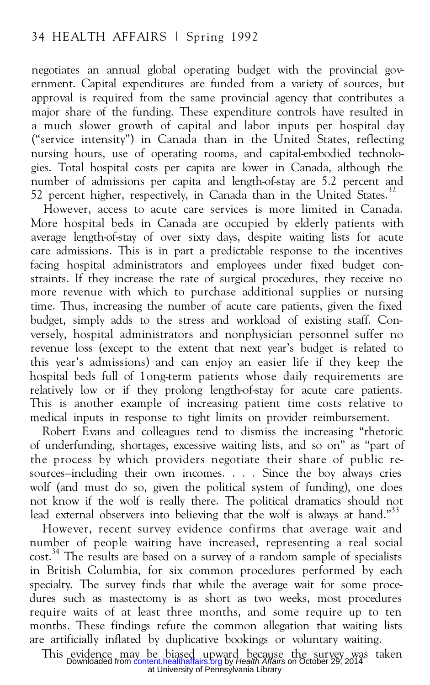negotiates an annual global operating budget with the provincial gov ernment. Capital expenditures are funded from a variety of sources, but approval is required from the same provincial agency that contributes a major share of the funding. These expenditure controls have resulted in a much slower growth of capital and labor inputs per hospital day ("service intensity") in Canada than in the United States, reflecting nursing hours, use of operating rooms, and capital-embodied technolo gies. Total hospital costs per capita are lower in Canada, although the number of admissions per capita and length-of-stay are 5.2 percent and 52 percent higher, respectively, in Canada than in the United States.<sup>32</sup>

However, access to acute care services is more limited in Canada. More hospital beds in Canada are occupied by elderly patients with average length-of-stay of over sixty days, despite waiting lists for acute care admissions. This is in part a predictable response to the incentives facing hospital administrators and employees under fixed budget constraints. If they increase the rate of surgical procedures, they receive no more revenue with which to purchase additional supplies or nursing time. Thus, increasing the number of acute care patients, given the fixed budget, simply adds to the stress and workload of existing staff. Con versely, hospital administrators and nonphysician personnel suffer no revenue loss (except to the extent that next year's budget is related to this year's admissions) and can enjoy an easier life if they keep the hospital beds full of 1ong-term patients whose daily requirements are relatively low or if they prolong length-of-stay for acute care patients. This is another example of increasing patient time costs relative to medical inputs in response to tight limits on provider reimbursement.

Robert Evans and colleagues tend to dismiss the increasing "rhetoric of underfunding, shortages, excessive waiting lists, and so on" as "part of the process by which providers negotiate their share of public resources–including their own incomes. . . . Since the boy always cries wolf (and must do so, given the political system of funding), one does not know if the wolf is really there. The political dramatics should not lead external observers into believing that the wolf is always at hand."<sup>33</sup>

However, recent survey evidence confirms that average wait and number of people waiting have increased, representing a real social cost.<sup>34</sup> The results are based on a survey of a random sample of specialists in British Columbia, for six common procedures performed by each specialty. The survey finds that while the average wait for some proce dures such as mastectomy is as short as two weeks, most procedures require waits of at least three months, and some require up to ten months. These findings refute the common allegation that waiting lists are artificially inflated by duplicative bookings or voluntary waiting.

This evidence may be biased upward because the survey was taken at University of Pennsylvania Library Downloaded from [content.healthaffairs.org](http://content.healthaffairs.org/) by Health Affairs on October 29, 2014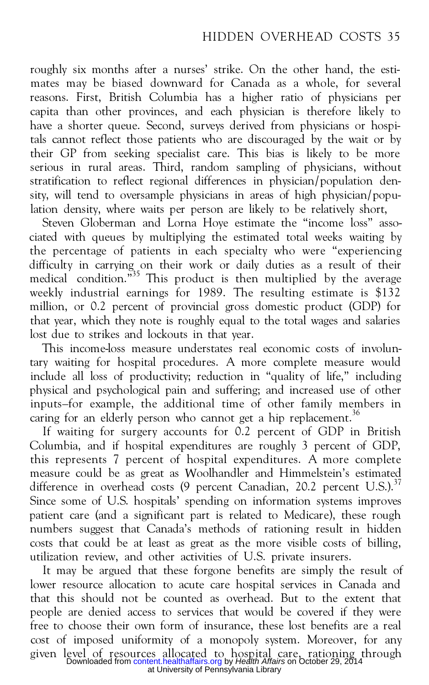roughly six months after a nurses' strike. On the other hand, the esti mates may be biased downward for Canada as a whole, for several reasons. First, British Columbia has a higher ratio of physicians per capita than other provinces, and each physician is therefore likely to have a shorter queue. Second, surveys derived from physicians or hospitals cannot reflect those patients who are discouraged by the wait or by their GP from seeking specialist care. This bias is likely to be more serious in rural areas. Third, random sampling of physicians, without their GP from seeking specialist care. This bias is likely to be more<br>serious in rural areas. Third, random sampling of physicians, without<br>stratification to reflect regional differences in physician/ population denserious in rural areas. Third, random sampling of physicians, without<br>stratification to reflect regional differences in physician/ population den-<br>sity, will tend to oversample physicians in areas of high physician/ popu-<br> lation density, where waits per person are likely to be relatively short,

Steven Globerman and Lorna Hoye estimate the "income loss" asso ciated with queues by multiplying the estimated total weeks waiting by the percentage of patients in each specialty who were "experiencing difficulty in carrying on their work or daily duties as a result of their medical condition.<sup>"35</sup> This product is then multiplied by the average weekly industrial earnings for 1989. The resulting estimate is \$132 million, or 0.2 percent of provincial gross domestic product (GDP) for that year, which they note is roughly equal to the total wages and salaries lost due to strikes and lockouts in that year.

This income-loss measure understates real economic costs of involuntary waiting for hospital procedures. A more complete measure would include all loss of productivity; reduction in "quality of life," including physical and psychological pain and suffering; and increased use of other inputs–for example, the additional time of other family members in caring for an elderly person who cannot get a hip replacement.<sup>36</sup>

If waiting for surgery accounts for 0.2 percent of GDP in British Columbia, and if hospital expenditures are roughly 3 percent of GDP, this represents 7 percent of hospital expenditures. A more complete measure could be as great as Woolhandler and Himmelstein's estimated difference in overhead costs (9 percent Canadian, 20.2 percent U.S.). $37$ Since some of U.S. hospitals' spending on information systems improves patient care (and a significant part is related to Medicare), these rough numbers suggest that Canada's methods of rationing result in hidden costs that could be at least as great as the more visible costs of billing, utilization review, and other activities of U.S. private insurers.

It may be argued that these forgone benefits are simply the result of lower resource allocation to acute care hospital services in Canada and that this should not be counted as overhead. But to the extent that people are denied access to services that would be covered if they were free to choose their own form of insurance, these lost benefits are a real cost of imposed uniformity of a monopoly system. Moreover, for any given level of resources allocated to hospital care, rationing through Downloaded from [content.healthaffairs.org](http://content.healthaffairs.org/) by Health Affairs on October 29, 2014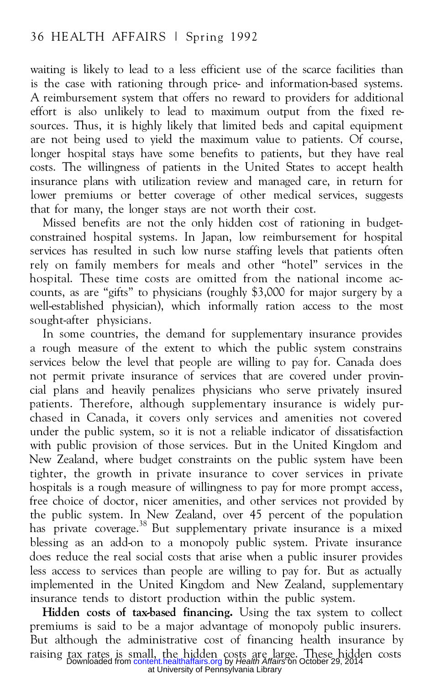waiting is likely to lead to a less efficient use of the scarce facilities than is the case with rationing through price- and information-based systems. A reimbursement system that offers no reward to providers for additional effort is also unlikely to lead to maximum output from the fixed resources. Thus, it is highly likely that limited beds and capital equipment are not being used to yield the maximum value to patients. Of course, longer hospital stays have some benefits to patients, but they have real costs. The willingness of patients in the United States to accept health insurance plans with utilization review and managed care, in return for lower premiums or better coverage of other medical services, suggests that for many, the longer stays are not worth their cost.

Missed benefits are not the only hidden cost of rationing in budget constrained hospital systems. In Japan, low reimbursement for hospital services has resulted in such low nurse staffing levels that patients often rely on family members for meals and other "hotel" services in the hospital. These time costs are omitted from the national income ac counts, as are "gifts" to physicians (roughly \$3,000 for major surgery by a well-established physician), which informally ration access to the most sought-after physicians.

In some countries, the demand for supplementary insurance provides a rough measure of the extent to which the public system constrains services below the level that people are willing to pay for. Canada does not permit private insurance of services that are covered under provin cial plans and heavily penalizes physicians who serve privately insured patients. Therefore, although supplementary insurance is widely pur chased in Canada, it covers only services and amenities not covered under the public system, so it is not a reliable indicator of dissatisfaction with public provision of those services. But in the United Kingdom and New Zealand, where budget constraints on the public system have been tighter, the growth in private insurance to cover services in private hospitals is a rough measure of willingness to pay for more prompt access, free choice of doctor, nicer amenities, and other services not provided by the public system. In New Zealand, over 45 percent of the population has private coverage.<sup>38</sup> But supplementary private insurance is a mixed blessing as an add-on to a monopoly public system. Private insurance does reduce the real social costs that arise when a public insurer provides less access to services than people are willing to pay for. But as actually implemented in the United Kingdom and New Zealand, supplementary insurance tends to distort production within the public system.

**Hidden costs of tax-based financing.** Using the tax system to collect premiums is said to be a major advantage of monopoly public insurers. But although the administrative cost of financing health insurance by raising tax rates is small, the hidden costs are large. These hidden costs Downloaded from [content.healthaffairs.org](http://content.healthaffairs.org/) by Health Affairs on October 29, 2014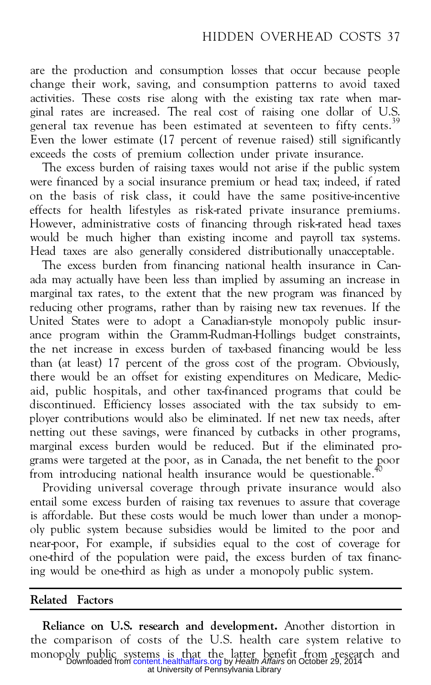are the production and consumption losses that occur because people change their work, saving, and consumption patterns to avoid taxed activities. These costs rise along with the existing tax rate when mar ginal rates are increased. The real cost of raising one dollar of U.S. general tax revenue has been estimated at seventeen to fifty cents.<sup>39</sup> Even the lower estimate (17 percent of revenue raised) still significantly exceeds the costs of premium collection under private insurance.

The excess burden of raising taxes would not arise if the public system were financed by a social insurance premium or head tax; indeed, if rated on the basis of risk class, it could have the same positive-incentive effects for health lifestyles as risk-rated private insurance premiums. However, administrative costs of financing through risk-rated head taxes would be much higher than existing income and payroll tax systems. Head taxes are also generally considered distributionally unacceptable.

The excess burden from financing national health insurance in Can ada may actually have been less than implied by assuming an increase in marginal tax rates, to the extent that the new program was financed by reducing other programs, rather than by raising new tax revenues. If the United States were to adopt a Canadian-style monopoly public insur ance program within the Gramm-Rudman-Hollings budget constraints, the net increase in excess burden of tax-based financing would be less than (at least) 17 percent of the gross cost of the program. Obviously, there would be an offset for existing expenditures on Medicare, Medic aid, public hospitals, and other tax-financed programs that could be discontinued. Efficiency losses associated with the tax subsidy to em ployer contributions would also be eliminated. If net new tax needs, after netting out these savings, were financed by cutbacks in other programs, marginal excess burden would be reduced. But if the eliminated pro grams were targeted at the poor, as in Canada, the net benefit to the poor from introducing national health insurance would be questionable. $\phi$ 

Providing universal coverage through private insurance would also entail some excess burden of raising tax revenues to assure that coverage is affordable. But these costs would be much lower than under a monop oly public system because subsidies would be limited to the poor and near-poor, For example, if subsidies equal to the cost of coverage for one-third of the population were paid, the excess burden of tax financing would be one-third as high as under a monopoly public system.

#### **Related Factors**

**Reliance on U.S. research and development.** Another distortion in the comparison of costs of the U.S. health care system relative to monopoly public systems is that the latter benefit from research and at University of Pennsylvania Library Downloaded from [content.healthaffairs.org](http://content.healthaffairs.org/) by Health Affairs on October 29, 2014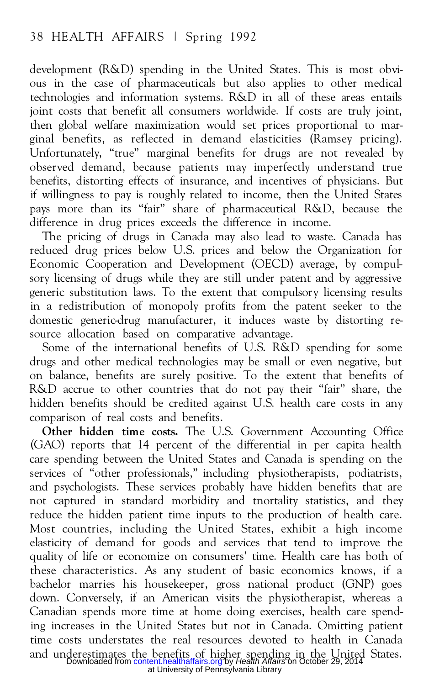development (R&D) spending in the United States. This is most obvi ous in the case of pharmaceuticals but also applies to other medical technologies and information systems. R&D in all of these areas entails joint costs that benefit all consumers worldwide. If costs are truly joint, then global welfare maximization would set prices proportional to mar ginal benefits, as reflected in demand elasticities (Ramsey pricing). Unfortunately, "true" marginal benefits for drugs are not revealed by observed demand, because patients may imperfectly understand true benefits, distorting effects of insurance, and incentives of physicians. But if willingness to pay is roughly related to income, then the United States pays more than its "fair" share of pharmaceutical R&D, because the difference in drug prices exceeds the difference in income.

The pricing of drugs in Canada may also lead to waste. Canada has reduced drug prices below U.S. prices and below the Organization for Economic Cooperation and Development (OECD) average, by compulsory licensing of drugs while they are still under patent and by aggressive generic substitution laws. To the extent that compulsory licensing results in a redistribution of monopoly profits from the patent seeker to the domestic generic-drug manufacturer, it induces waste by distorting resource allocation based on comparative advantage.

Some of the international benefits of U.S. R&D spending for some drugs and other medical technologies may be small or even negative, but on balance, benefits are surely positive. To the extent that benefits of R&D accrue to other countries that do not pay their "fair" share, the hidden benefits should be credited against U.S. health care costs in any comparison of real costs and benefits.

**Other hidden time costs.** The U.S. Government Accounting Office (GAO) reports that 14 percent of the differential in per capita health care spending between the United States and Canada is spending on the services of "other professionals," including physiotherapists, podiatrists, and psychologists. These services probably have hidden benefits that are not captured in standard morbidity and tnortality statistics, and they reduce the hidden patient time inputs to the production of health care. Most countries, including the United States, exhibit a high income elasticity of demand for goods and services that tend to improve the quality of life or economize on consumers' time. Health care has both of these characteristics. As any student of basic economics knows, if a bachelor marries his housekeeper, gross national product (GNP) goes down. Conversely, if an American visits the physiotherapist, whereas a Canadian spends more time at home doing exercises, health care spending increases in the United States but not in Canada. Omitting patient time costs understates the real resources devoted to health in Canada and underestimates the benefits of higher spending in the United States. Downloaded from [content.healthaffairs.org](http://content.healthaffairs.org/) by Health Affairs on October 29, 2014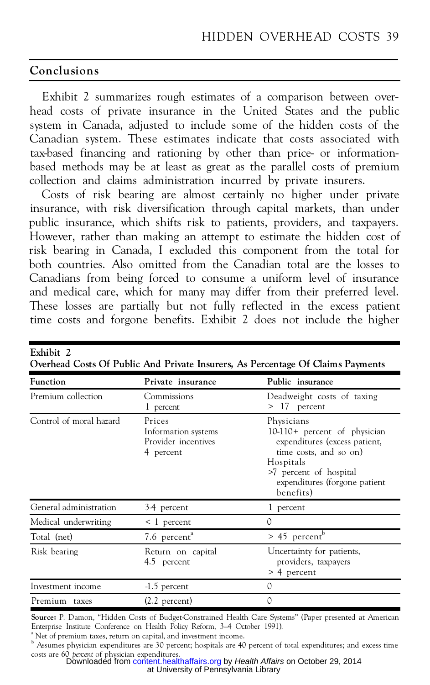#### **Conclusions**

Exhibit 2 summarizes rough estimates of a comparison between over head costs of private insurance in the United States and the public system in Canada, adjusted to include some of the hidden costs of the Canadian system. These estimates indicate that costs associated with tax-based financing and rationing by other than price- or information based methods may be at least as great as the parallel costs of premium collection and claims administration incurred by private insurers.

Costs of risk bearing are almost certainly no higher under private insurance, with risk diversification through capital markets, than under public insurance, which shifts risk to patients, providers, and taxpayers. However, rather than making an attempt to estimate the hidden cost of risk bearing in Canada, I excluded this component from the total for both countries. Also omitted from the Canadian total are the losses to Canadians from being forced to consume a uniform level of insurance and medical care, which for many may differ from their preferred level. These losses are partially but not fully reflected in the excess patient time costs and forgone benefits. Exhibit 2 does not include the higher

| Exhibit 2<br>Overhead Costs Of Public And Private Insurers, As Percentage Of Claims Payments |                                                                   |                                                                                                                                                                                            |  |  |  |
|----------------------------------------------------------------------------------------------|-------------------------------------------------------------------|--------------------------------------------------------------------------------------------------------------------------------------------------------------------------------------------|--|--|--|
| Function                                                                                     | Private insurance                                                 | Public insurance                                                                                                                                                                           |  |  |  |
| Premium collection                                                                           | Commissions<br>1 percent                                          | Deadweight costs of taxing<br>$> 17$ percent                                                                                                                                               |  |  |  |
| Control of moral hazard                                                                      | Prices<br>Information systems<br>Provider incentives<br>4 percent | Physicians<br>10-110+ percent of physician<br>expenditures (excess patient,<br>time costs, and so on)<br>Hospitals<br>>7 percent of hospital<br>expenditures (forgone patient<br>benefits) |  |  |  |
| General administration                                                                       | 34 percent                                                        | 1 percent                                                                                                                                                                                  |  |  |  |
| Medical underwriting                                                                         | $\leq 1$ percent                                                  | $\Omega$                                                                                                                                                                                   |  |  |  |
| Total (net)                                                                                  | 7.6 percent <sup>a</sup>                                          | $> 45$ percent <sup>b</sup>                                                                                                                                                                |  |  |  |
| Risk bearing                                                                                 | Return on capital<br>4.5 percent                                  | Uncertainty for patients,<br>providers, taxpayers<br>> 4 percent                                                                                                                           |  |  |  |
| Investment income                                                                            | $-1.5$ percent                                                    | 0                                                                                                                                                                                          |  |  |  |
| Premium taxes                                                                                | $(2.2$ percent)                                                   | 0                                                                                                                                                                                          |  |  |  |

**Source:** P. Damon, "Hidden Costs of Budget-Constrained Health Care Systems" (Paper presented at American Enterprise Institute Conference on Health Policy Reform, 3-4 October 1991).

 $^{\text{a}}$  Net of premium taxes, return on capital, and investment income.

 Assumes physician expenditures are 30 percent; hospitals are 40 percent of total expenditures; and excess time costs are 60 *percent* of physician expenditures. Downloaded from [content.healthaffairs.org](http://content.healthaffairs.org/) by Health Affairs on October 29, 2014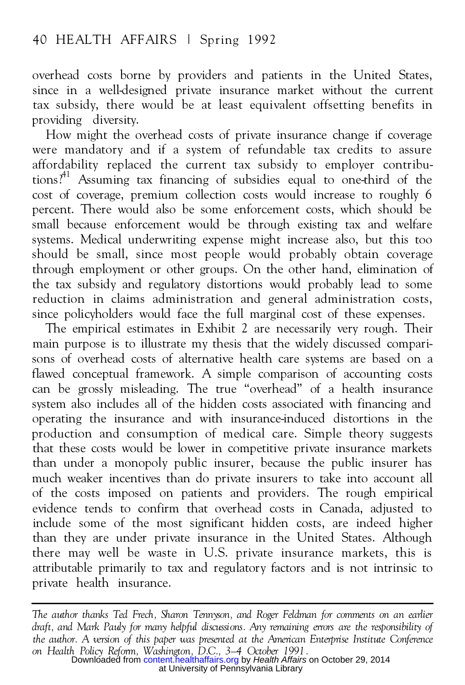overhead costs borne by providers and patients in the United States, since in a well-designed private insurance market without the current tax subsidy, there would be at least equivalent offsetting benefits in providing diversity.

How might the overhead costs of private insurance change if coverage were mandatory and if a system of refundable tax credits to assure affordability replaced the current tax subsidy to employer contributions<sup> $t^{41}$ </sup> Assuming tax financing of subsidies equal to one-third of the cost of coverage, premium collection costs would increase to roughly 6 percent. There would also be some enforcement costs, which should be small because enforcement would be through existing tax and welfare systems. Medical underwriting expense might increase also, but this too should be small, since most people would probably obtain coverage through employment or other groups. On the other hand, elimination of the tax subsidy and regulatory distortions would probably lead to some reduction in claims administration and general administration costs, since policyholders would face the full marginal cost of these expenses.

The empirical estimates in Exhibit 2 are necessarily very rough. Their main purpose is to illustrate my thesis that the widely discussed comparisons of overhead costs of alternative health care systems are based on a flawed conceptual framework. A simple comparison of accounting costs can be grossly misleading. The true "overhead" of a health insurance system also includes all of the hidden costs associated with financing and operating the insurance and with insurance-induced distortions in the production and consumption of medical care. Simple theory suggests that these costs would be lower in competitive private insurance markets than under a monopoly public insurer, because the public insurer has much weaker incentives than do private insurers to take into account all of the costs imposed on patients and providers. The rough empirical evidence tends to confirm that overhead costs in Canada, adjusted to include some of the most significant hidden costs, are indeed higher than they are under private insurance in the United States. Although there may well be waste in U.S. private insurance markets, this is attributable primarily to tax and regulatory factors and is not intrinsic to private health insurance.

*The author thanks Ted Frech, Sharon Tennyson, and Roger Feldman for comments on an earlier draft, and Mark Pauly for many helpful discussions. Any remaining errors are the responsibility of the author. A version of this paper was presented at the American Enterprise Institute Conference on Health Policy Reform, Washington, D.C., 3–4 October 1991.*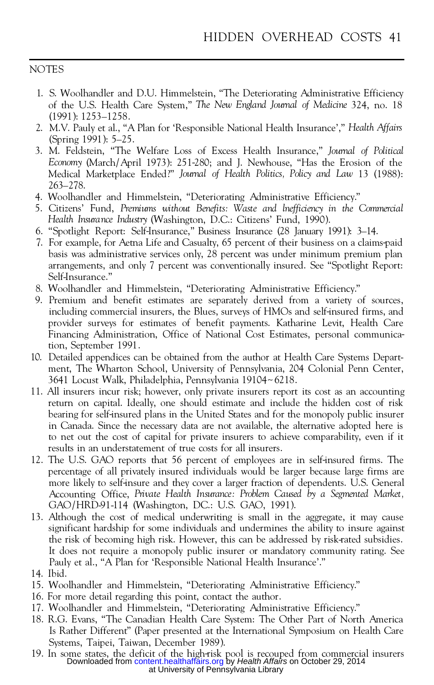#### **NOTES**

- 1. S. Woolhandler and D.U. Himmelstein, "The Deteriorating Administrative Efficiency of the U.S. Health Care System," *The New England Journal of Medicine* 324, no. 18 2. M.V. Pauly et al., "A Plan for 'Responsible National Health Insurance'," *Health Affairs* (1991): 1253–1258.<br>2. M.V. Pauly et al., "A Plan for 'Responsible National Health Insurance'," Health Affairs
- (Spring 1991): 5–25.
- 3. M. Feldstein, "The Welfare Loss of Excess Health Insurance," *Journal of Political Economy (Spring 1991): 5–25.*<br> *M. Feldstein, "The Welfare Loss of Excess Health Insurance," Journal of Political*<br> *Economy (March/ April 1973): 251-280; and J. Newhouse, "Has the Erosion of the*<br> *Marchinel Marchines En* Medical Marketplace Ended?" *Journal of Health Politics, Policy and Law* 13 (1988): 263–278.
- 4. Woolhandler and Himmelstein, "Deteriorating Administrative Efficiency."
- 5. Citizens' Fund, *Premiums without Benefits: Waste and lnefficiency in the Commercial Health Insurance Industry* (Washington, D.C.: Citizens' Fund, 1990). 6. "Spotlight Report: Spotlight Report: Spotlight Report: Spotlight Report: Spotlight Report: Spotlight Report: Spotlight Report: Spotlight Report: Spotlight Report: Spotlight Report: Spotlight Report: Spotlight Report: Sp
- 
- 7. For example, for Aetna Life and Casualty, 65 percent of their business on a claims-paid<br>7. For example, for Aetna Life and Casualty, 65 percent of their business on a claims-paid<br>7. For example, for Aetna Life and Casua basis was administrative services only, 28 percent was under minimum premium plan arrangements, and only 7 percent was conventionally insured. See "Spotlight Report: Self-Insurance."
- 8. Woolhandler and Himmelstein, "Deteriorating Administrative Efficiency."
- 9. Premium and benefit estimates are separately derived from a variety of sources, including commercial insurers, the Blues, surveys of HMOs and self-insured firms, and provider surveys for estimates of benefit payments. Katharine Levit, Health Care Financing Administration, Office of National Cost Estimates, personal communica-<br>tion, September 1991.<br>10. Detailed appendices can be obtained from the author at Health Care Systems Depart-<br>ment, The Wharton School, Univer tion, September 1991.
- 3641 Locust Walk, Philadelphia, Pennsylvania 19104~6218.
- 11. All insurers incur risk; however, only private insurers report its cost as an accounting return on capital. Ideally, one should estimate and include the hidden cost of risk bearing for self-insured plans in the United States and for the monopoly public insurer in Canada. Since the necessary data are not available, the alternative adopted here is to net out the cost of capital for private insurers to achieve comparability, even if it results in an understatement of true costs for all insurers.
- 12. The U.S. GAO reports that 56 percent of employees are in self-insured firms. The percentage of all privately insured individuals would be larger because large firms are more likely to self-insure and they cover a larger fraction of dependents. U.S. General Accounting Office, *Private Health Insurance: Problem Caused by a Segmented Market,* GAO/HRD-91-114 (Washington, DC.: U.S. GAO, 1991).
- 13. Although the cost of medical underwriting is small in the aggregate, it may cause significant hardship for some individuals and undermines the ability to insure against the risk of becoming high risk. However, this can be addressed by risk-rated subsidies. It does not require a monopoly public insurer or mandatory community rating. See Pauly et al., "A Plan for 'Responsible National Health Insurance'."
- 14. Ibid.
- 15. Woolhandler and Himmelstein, "Deteriorating Administrative Efficiency."
- 16. For more detail regarding this point, contact the author.
- 17. Woolhandler and Himmelstein, "Deteriorating Administrative Efficiency."
- 18. R.G. Evans, "The Canadian Health Care System: The Other Part of North America Is Rather Different" (Paper presented at the International Symposium on Health Care Systems, Taipei, Taiwan, December 1989).
- 19. In some states, the deficit of the high-risk pool is recouped from commercial insurers at University of Pennsylvania Library Downloaded from [content.healthaffairs.org](http://content.healthaffairs.org/) by Health Affairs on October 29, 2014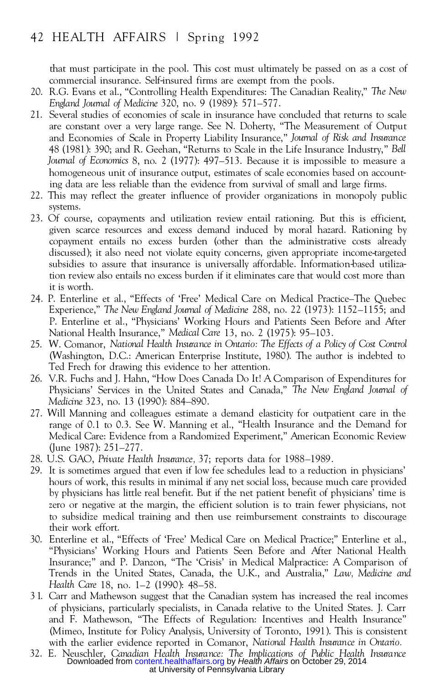that must participate in the pool. This cost must ultimately be passed on as a cost of commercial insurance. Self-insured firms are exempt from the pools. that must participate in the pool. This cost must ultimately be passed on as a cost of commercial insurance. Self-insured firms are exempt from the pools.<br>20. R.G. Evans et al., "Controlling Health Expenditures: The Canadi

- *England Journal of Medicine* 320, no. 9 (1989): 571–577. 20. R.G. Evans et al., "Controlling Health Expenditures: The Canadian Reality," The New England Journal of Medicine 320, no. 9 (1989): 571–577.<br>21. Several studies of economies of scale in insurance have concluded that ret
- are constant over a very large range. See N. Doherty, "The Measurement of Output and Economies of Scale in Property Liability Insurance," *Journal of Risk and Insurance* 48 (1981): 390; and R. Geehan, "Returns to Scale in the Life Insurance Industry," *Bell Journal of Economics* 8, no. 2 (1977): 497–513. Because it is impossible to measure a homogeneous unit of insurance output, estimates of scale economies based on accounting data are less reliable than the evidence from survival of small and large firms.
- 22. This may reflect the greater influence of provider organizations in monopoly public systems.
- 23. Of course, copayments and utilization review entail rationing. But this is efficient, given scarce resources and excess demand induced by moral hazard. Rationing by copayment entails no excess burden (other than the administrative costs already discussed); it also need not violate equity concerns, given appropriate income-targeted subsidies to assure that insurance is universally affordable. Information-based utilization review also entails no excess burden if it eliminates care that would cost more than it is worth.
- 24. P. Enterline et al., "Effects of 'Free' Medical Care on Medical Practice–The Quebec Experience," *The New England Journal of Medicine* 288, no. 22 (1973): 1152–1155; and P. Enterline et al., "Physicians' Working Hours and Patients Seen Before and After National Health Insurance," *Medical Care* 13, no. 2 (1975): 95–103.
- 25. W. Comanor, *National Health Insurance in Ontario: The Effects of a Policy of Cost Control* (Washington, D.C.: American Enterprise Institute, 1980). The author is indebted to Ted Frech for drawing this evidence to her attention.
- 26. V.R. Fuchs and J. Hahn, "How Does Canada Do It! A Comparison of Expenditures for Physicians' Services in the United States and Canada," *The New England Journal of Medicine* 323, no. 13 (1990): 884–890.
- 27. Will Manning and colleagues estimate a demand elasticity for outpatient care in the range of 0.1 to 0.3. See W. Manning et al., "Health Insurance and the Demand for Medical Care: Evidence from a Randomized Experiment," American Economic Review (June 1987): 251–277.
- 28. U.S. GAO, *Private Health Insurance,* 37; reports data for 1988–1989.
- 29. It is sometimes argued that even if low fee schedules lead to a reduction in physicians' hours of work, this results in minimal if any net social loss, because much care provided by physicians has little real benefit. But if the net patient benefit of physicians' time is zero or negative at the margin, the efficient solution is to train fewer physicians, not to subsidize medical training and then use reimbursement constraints to discourage their work effort.
- 30. Enterline et al., "Effects of 'Free' Medical Care on Medical Practice;" Enterline et al., "Physicians' Working Hours and Patients Seen Before and After National Health Insurance;" and P. Danzon, "The 'Crisis' in Medical Malpractice: A Comparison of Trends in the United States, Canada, the U.K., and Australia," *Law, Medicine and Health Care* 18, no. 1–2 (1990): 48–58.
- 3 1. Carr and Mathewson suggest that the Canadian system has increased the real incomes of physicians, particularly specialists, in Canada relative to the United States. J. Carr and F. Mathewson, "The Effects of Regulation: Incentives and Health Insurance" (Mimeo, Institute for Policy Analysis, University of Toronto, 1991). This is consistent with the earlier evidence reported in Comanor, *National Health Insurance in Ontario.*
- 32. E. Neuschler, *Canadian Health Insurance: The Implications of Public Health Insurance* at University of Pennsylvania Library Downloaded from [content.healthaffairs.org](http://content.healthaffairs.org/) by Health Affairs on October 29, 2014